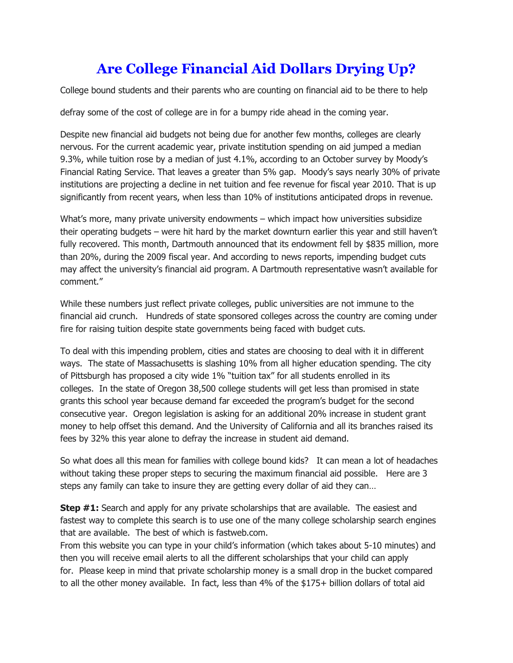## **Are College Financial Aid Dollars Drying Up?**

College bound students and their parents who are counting on financial aid to be there to help

defray some of the cost of college are in for a bumpy ride ahead in the coming year.

Despite new financial aid budgets not being due for another few months, colleges are clearly nervous. For the current academic year, private institution spending on aid jumped a median 9.3%, while tuition rose by a median of just 4.1%, according to an October survey by Moody's Financial Rating Service. That leaves a greater than 5% gap. Moody's says nearly 30% of private institutions are projecting a decline in net tuition and fee revenue for fiscal year 2010. That is up significantly from recent years, when less than 10% of institutions anticipated drops in revenue.

What's more, many private university endowments – which impact how universities subsidize their operating budgets – were hit hard by the market downturn earlier this year and still haven't fully recovered. This month, Dartmouth announced that its endowment fell by \$835 million, more than 20%, during the 2009 fiscal year. And according to news reports, impending budget cuts may affect the university's financial aid program. A Dartmouth representative wasn't available for comment."

While these numbers just reflect private colleges, public universities are not immune to the financial aid crunch. Hundreds of state sponsored colleges across the country are coming under fire for raising tuition despite state governments being faced with budget cuts.

To deal with this impending problem, cities and states are choosing to deal with it in different ways. The state of Massachusetts is slashing 10% from all higher education spending. The city of Pittsburgh has proposed a city wide 1% "tuition tax" for all students enrolled in its colleges. In the state of Oregon 38,500 college students will get less than promised in state grants this school year because demand far exceeded the program's budget for the second consecutive year. Oregon legislation is asking for an additional 20% increase in student grant money to help offset this demand. And the University of California and all its branches raised its fees by 32% this year alone to defray the increase in student aid demand.

So what does all this mean for families with college bound kids? It can mean a lot of headaches without taking these proper steps to securing the maximum financial aid possible. Here are 3 steps any family can take to insure they are getting every dollar of aid they can…

**Step #1:** Search and apply for any private scholarships that are available. The easiest and fastest way to complete this search is to use one of the many college scholarship search engines that are available. The best of which is fastweb.com.

From this website you can type in your child's information (which takes about 5-10 minutes) and then you will receive email alerts to all the different scholarships that your child can apply for. Please keep in mind that private scholarship money is a small drop in the bucket compared to all the other money available. In fact, less than 4% of the \$175+ billion dollars of total aid